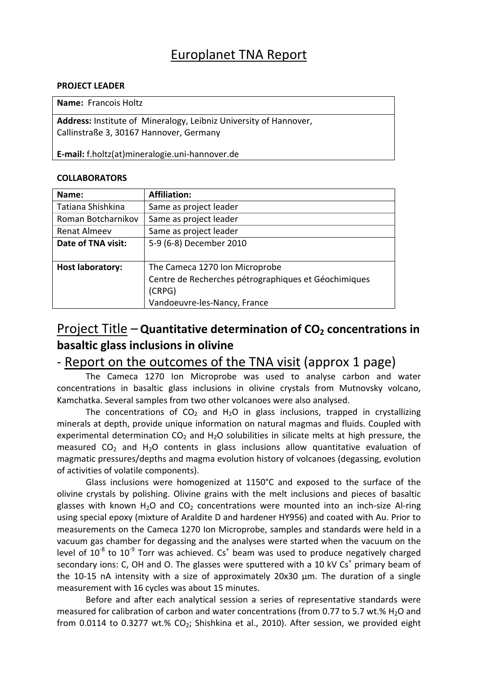## Europlanet TNA Report

#### **PROJECT LEADER**

**Name:** Francois Holtz

**Address:** Institute of Mineralogy, Leibniz University of Hannover, Callinstraße 3, 30167 Hannover, Germany

**E‐mail:** f.holtz(at)mineralogie.uni‐hannover.de

#### **COLLABORATORS**

| Name:                   | <b>Affiliation:</b>                                  |
|-------------------------|------------------------------------------------------|
| Tatiana Shishkina       | Same as project leader                               |
| Roman Botcharnikov      | Same as project leader                               |
| Renat Almeev            | Same as project leader                               |
| Date of TNA visit:      | 5-9 (6-8) December 2010                              |
|                         |                                                      |
| <b>Host laboratory:</b> | The Cameca 1270 Ion Microprobe                       |
|                         | Centre de Recherches pétrographiques et Géochimiques |
|                         | (CRPG)                                               |
|                         | Vandoeuvre-les-Nancy, France                         |

### **Project Title – Quantitative determination of CO<sub>2</sub> concentrations in basaltic glass inclusions in olivine**

### ‐ Report on the outcomes of the TNA visit (approx 1 page)

The Cameca 1270 Ion Microprobe was used to analyse carbon and water concentrations in basaltic glass inclusions in olivine crystals from Mutnovsky volcano, Kamchatka. Several samples from two other volcanoes were also analysed.

The concentrations of  $CO<sub>2</sub>$  and H<sub>2</sub>O in glass inclusions, trapped in crystallizing minerals at depth, provide unique information on natural magmas and fluids. Coupled with experimental determination  $CO<sub>2</sub>$  and H<sub>2</sub>O solubilities in silicate melts at high pressure, the measured  $CO<sub>2</sub>$  and H<sub>2</sub>O contents in glass inclusions allow quantitative evaluation of magmatic pressures/depths and magma evolution history of volcanoes (degassing, evolution of activities of volatile components).

Glass inclusions were homogenized at 1150°C and exposed to the surface of the olivine crystals by polishing. Olivine grains with the melt inclusions and pieces of basaltic glasses with known H<sub>2</sub>O and CO<sub>2</sub> concentrations were mounted into an inch-size Al-ring using special epoxy (mixture of Araldite D and hardener HY956) and coated with Au. Prior to measurements on the Cameca 1270 Ion Microprobe, samples and standards were held in a vacuum gas chamber for degassing and the analyses were started when the vacuum on the level of  $10^{-8}$  to  $10^{-9}$  Torr was achieved.  $Cs<sup>+</sup>$  beam was used to produce negatively charged secondary ions: C, OH and O. The glasses were sputtered with a 10 kV  $Cs<sup>+</sup>$  primary beam of the 10‐15 nA intensity with a size of approximately 20x30 µm. The duration of a single measurement with 16 cycles was about 15 minutes.

Before and after each analytical session a series of representative standards were measured for calibration of carbon and water concentrations (from 0.77 to 5.7 wt.%  $H_2O$  and from 0.0114 to 0.3277 wt.%  $CO<sub>2</sub>$ ; Shishkina et al., 2010). After session, we provided eight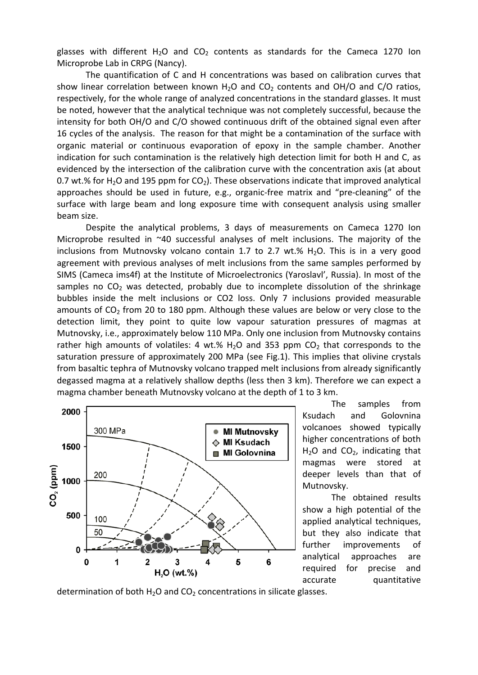glasses with different H<sub>2</sub>O and CO<sub>2</sub> contents as standards for the Cameca 1270 Ion Microprobe Lab in CRPG (Nancy).

The quantification of C and H concentrations was based on calibration curves that show linear correlation between known  $H_2O$  and  $CO_2$  contents and OH/O and C/O ratios, respectively, for the whole range of analyzed concentrations in the standard glasses. It must be noted, however that the analytical technique was not completely successful, because the intensity for both OH/O and C/O showed continuous drift of the obtained signal even after 16 cycles of the analysis. The reason for that might be a contamination of the surface with organic material or continuous evaporation of epoxy in the sample chamber. Another indication for such contamination is the relatively high detection limit for both H and C, as evidenced by the intersection of the calibration curve with the concentration axis (at about 0.7 wt.% for H<sub>2</sub>O and 195 ppm for  $CO<sub>2</sub>$ ). These observations indicate that improved analytical approaches should be used in future, e.g., organic‐free matrix and "pre‐cleaning" of the surface with large beam and long exposure time with consequent analysis using smaller beam size.

Despite the analytical problems, 3 days of measurements on Cameca 1270 Ion Microprobe resulted in ~40 successful analyses of melt inclusions. The majority of the inclusions from Mutnovsky volcano contain 1.7 to 2.7 wt.%  $H_2O$ . This is in a very good agreement with previous analyses of melt inclusions from the same samples performed by SIMS (Cameca ims4f) at the Institute of Microelectronics (Yaroslavl', Russia). In most of the samples no  $CO<sub>2</sub>$  was detected, probably due to incomplete dissolution of the shrinkage bubbles inside the melt inclusions or CO2 loss. Only 7 inclusions provided measurable amounts of  $CO<sub>2</sub>$  from 20 to 180 ppm. Although these values are below or very close to the detection limit, they point to quite low vapour saturation pressures of magmas at Mutnovsky, i.e., approximately below 110 MPa. Only one inclusion from Mutnovsky contains rather high amounts of volatiles: 4 wt.%  $H_2O$  and 353 ppm  $CO_2$  that corresponds to the saturation pressure of approximately 200 MPa (see Fig.1). This implies that olivine crystals from basaltic tephra of Mutnovsky volcano trapped melt inclusions from already significantly degassed magma at a relatively shallow depths (less then 3 km). Therefore we can expect a magma chamber beneath Mutnovsky volcano at the depth of 1 to 3 km.



The samples from Ksudach and Golovnina volcanoes showed typically higher concentrations of both  $H<sub>2</sub>O$  and  $CO<sub>2</sub>$ , indicating that magmas were stored at deeper levels than that of Mutnovsky.

The obtained results show a high potential of the applied analytical techniques, but they also indicate that further improvements of analytical approaches are required for precise and accurate quantitative

determination of both  $H_2O$  and  $CO_2$  concentrations in silicate glasses.